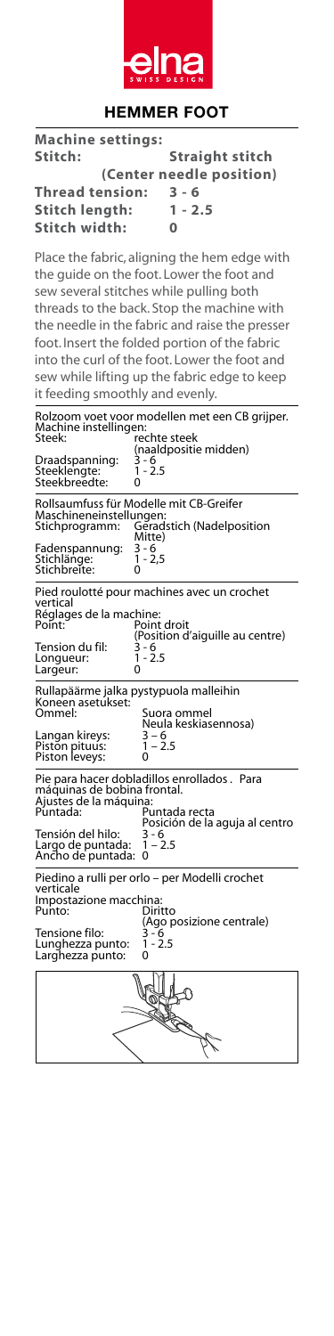

## **HEMMER FOOT**

| <b>Machine settings:</b> |                          |
|--------------------------|--------------------------|
| Stitch:                  | <b>Straight stitch</b>   |
|                          | (Center needle position) |
| <b>Thread tension:</b>   | $3 - 6$                  |
| <b>Stitch length:</b>    | $1 - 2.5$                |
| Stitch width:            | ŋ                        |
|                          |                          |

Place the fabric, aligning the hem edge with the guide on the foot. Lower the foot and sew several stitches while pulling both threads to the back. Stop the machine with the needle in the fabric and raise the presser foot. Insert the folded portion of the fabric into the curl of the foot. Lower the foot and sew while lifting up the fabric edge to keep it feeding smoothly and evenly.

| Machine instellingen:<br>Steek:                                                                                                                                     | Rolzoom voet voor modellen met een CB grijper.<br>rechte steek |  |
|---------------------------------------------------------------------------------------------------------------------------------------------------------------------|----------------------------------------------------------------|--|
| $3 - 6$<br>Draadspanning:<br>$1 - 2.5$<br>Steeklengte:<br>Steekbreedte:<br>Ω                                                                                        | (naaldpositie midden)                                          |  |
| Rollsaumfuss für Modelle mit CB-Greifer<br>Maschineneinstellungen:<br>Geradstich (Nadelposition<br>Stichprogramm:<br>Mitte)                                         |                                                                |  |
| 3 - 6<br>1 - 2,5<br>Fadenspannung:<br>Stichlänge:<br>Stichbreite:<br>0                                                                                              |                                                                |  |
| Pied roulotté pour machines avec un crochet<br>vertical<br>Réglages de la machine:<br>Point:                                                                        | Point droit<br>(Position d'aiquille au centre)                 |  |
| Tension du fil:<br>3 - 6<br>1 - 2.5<br>Longueur:<br>0<br>Largeur:                                                                                                   |                                                                |  |
| Rullapäärme jalka pystypuola malleihin<br>Koneen asetükset:<br>Ommel:                                                                                               | Suora ommel                                                    |  |
| Langan kireys:<br>Piston pituus:<br>Piston leveys:<br>0                                                                                                             | Neula keskiasennosa)<br>3 – 6<br>1 – 2.5                       |  |
| Pie para hacer dobladillos enrollados. Para<br>máquinas de bobina frontal.<br>Ajustes de la máquina:<br>Puntada:<br>Puntada recta<br>Posición de la aguja al centro |                                                                |  |
| Tensión del hilo:<br>Largo de puntada:<br>Ancho de puntada:<br>0                                                                                                    | 3 - 6<br>$1 - 2.5$                                             |  |
| Piedino a rulli per orlo - per Modelli crochet<br>verticale<br>Impostazione macchina:<br>Punto:                                                                     | Diritto<br>(Ago posizione centrale)                            |  |
| Tensione filo:<br>Lunghezza punto:<br>Larghezza punto:<br>0                                                                                                         | 3 - 6<br>1 - 2.5                                               |  |
|                                                                                                                                                                     |                                                                |  |
|                                                                                                                                                                     |                                                                |  |